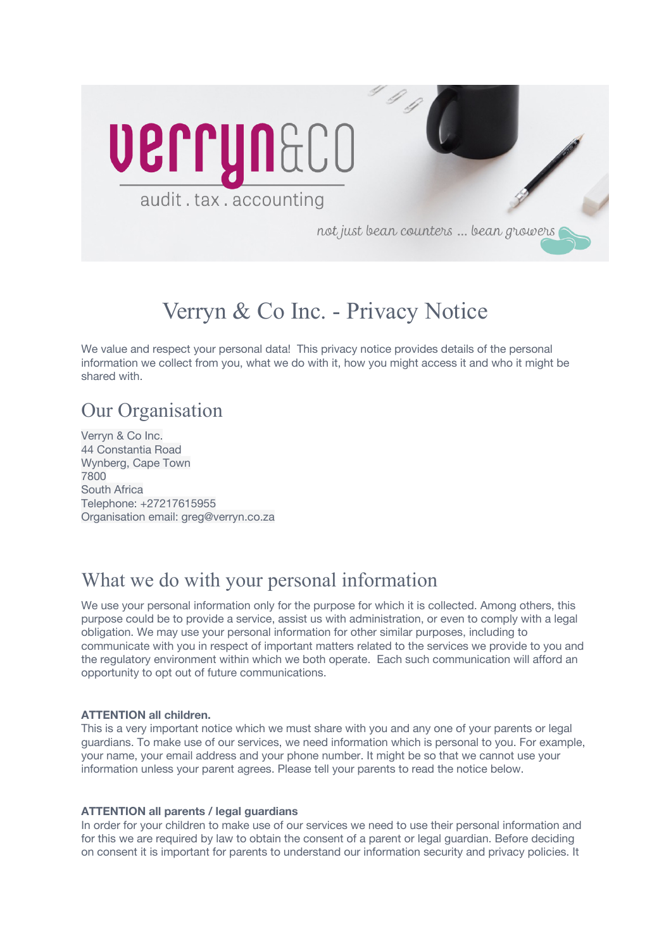

# Verryn & Co Inc. - Privacy Notice

We value and respect your personal data! This privacy notice provides details of the personal information we collect from you, what we do with it, how you might access it and who it might be shared with.

### Our Organisation

Verryn & Co Inc. 44 Constantia Road Wynberg, Cape Town 7800 South Africa Telephone: +27217615955 Organisation email: greg@verryn.co.za

## What we do with your personal information

We use your personal information only for the purpose for which it is collected. Among others, this purpose could be to provide a service, assist us with administration, or even to comply with a legal obligation. We may use your personal information for other similar purposes, including to communicate with you in respect of important matters related to the services we provide to you and the regulatory environment within which we both operate. Each such communication will afford an opportunity to opt out of future communications.

### **ATTENTION all children.**

This is a very important notice which we must share with you and any one of your parents or legal guardians. To make use of our services, we need information which is personal to you. For example, your name, your email address and your phone number. It might be so that we cannot use your information unless your parent agrees. Please tell your parents to read the notice below.

### **ATTENTION all parents / legal guardians**

In order for your children to make use of our services we need to use their personal information and for this we are required by law to obtain the consent of a parent or legal guardian. Before deciding on consent it is important for parents to understand our information security and privacy policies. It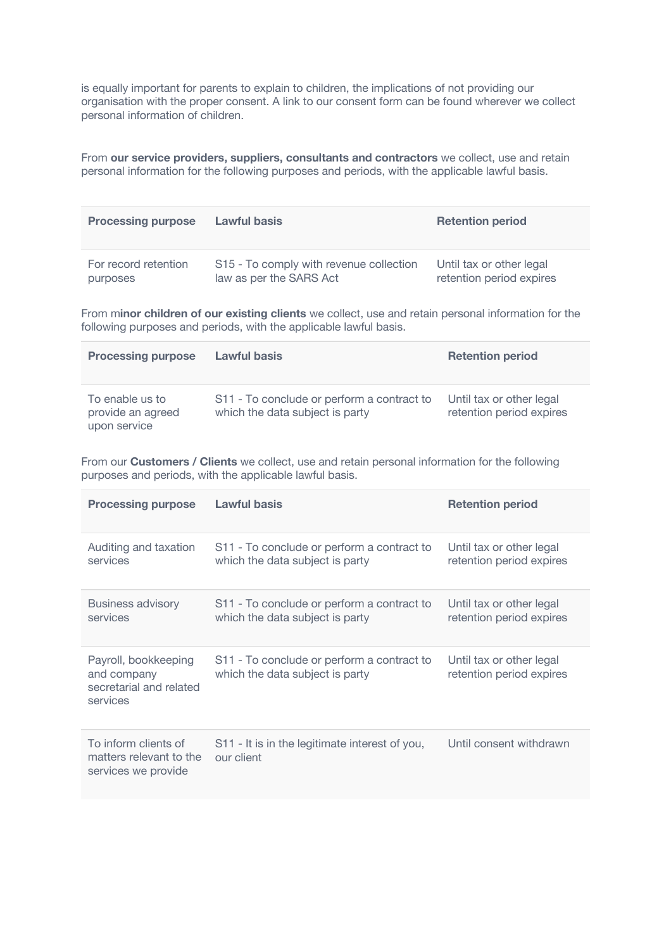is equally important for parents to explain to children, the implications of not providing our organisation with the proper consent. A link to our consent form can be found wherever we collect personal information of children.

From **our service providers, suppliers, consultants and contractors** we collect, use and retain personal information for the following purposes and periods, with the applicable lawful basis.

| <b>Processing purpose</b> | Lawful basis                            | <b>Retention period</b>  |
|---------------------------|-----------------------------------------|--------------------------|
| For record retention      | S15 - To comply with revenue collection | Until tax or other legal |
| purposes                  | law as per the SARS Act                 | retention period expires |

From m**inor children of our existing clients** we collect, use and retain personal information for the following purposes and periods, with the applicable lawful basis.

| <b>Processing purpose</b>                            | <b>Lawful basis</b>                                                           | <b>Retention period</b>                              |
|------------------------------------------------------|-------------------------------------------------------------------------------|------------------------------------------------------|
| To enable us to<br>provide an agreed<br>upon service | S11 - To conclude or perform a contract to<br>which the data subject is party | Until tax or other legal<br>retention period expires |

From our **Customers / Clients** we collect, use and retain personal information for the following purposes and periods, with the applicable lawful basis.

| <b>Processing purpose</b>                                                  | <b>Lawful basis</b>                                                           | <b>Retention period</b>                              |
|----------------------------------------------------------------------------|-------------------------------------------------------------------------------|------------------------------------------------------|
| Auditing and taxation<br>services                                          | S11 - To conclude or perform a contract to<br>which the data subject is party | Until tax or other legal<br>retention period expires |
| <b>Business advisory</b><br>services                                       | S11 - To conclude or perform a contract to<br>which the data subject is party | Until tax or other legal<br>retention period expires |
| Payroll, bookkeeping<br>and company<br>secretarial and related<br>services | S11 - To conclude or perform a contract to<br>which the data subject is party | Until tax or other legal<br>retention period expires |
| To inform clients of<br>matters relevant to the<br>services we provide     | S11 - It is in the legitimate interest of you,<br>our client                  | Until consent withdrawn                              |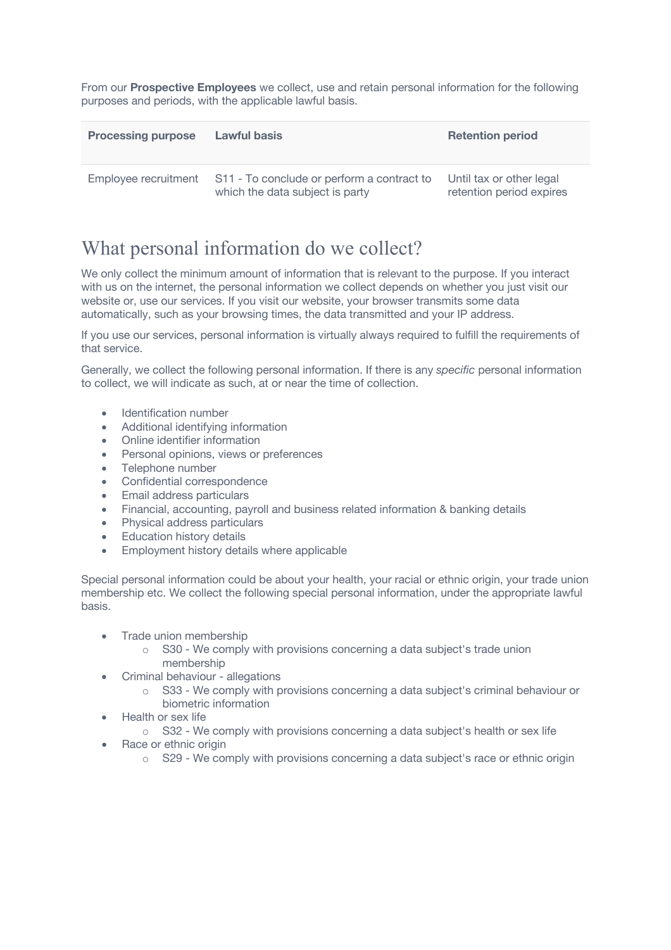From our **Prospective Employees** we collect, use and retain personal information for the following purposes and periods, with the applicable lawful basis.

| <b>Processing purpose</b> | <b>Lawful basis</b>                                                           | <b>Retention period</b>                              |
|---------------------------|-------------------------------------------------------------------------------|------------------------------------------------------|
| Employee recruitment      | S11 - To conclude or perform a contract to<br>which the data subject is party | Until tax or other legal<br>retention period expires |

## What personal information do we collect?

We only collect the minimum amount of information that is relevant to the purpose. If you interact with us on the internet, the personal information we collect depends on whether you just visit our website or, use our services. If you visit our website, your browser transmits some data automatically, such as your browsing times, the data transmitted and your IP address.

If you use our services, personal information is virtually always required to fulfill the requirements of that service.

Generally, we collect the following personal information. If there is any *specific* personal information to collect, we will indicate as such, at or near the time of collection.

- Identification number
- Additional identifying information
- Online identifier information
- Personal opinions, views or preferences
- Telephone number
- Confidential correspondence
- Email address particulars
- Financial, accounting, payroll and business related information & banking details
- Physical address particulars
- Education history details
- Employment history details where applicable

Special personal information could be about your health, your racial or ethnic origin, your trade union membership etc. We collect the following special personal information, under the appropriate lawful basis.

- Trade union membership
	- o S30 We comply with provisions concerning a data subject's trade union membership
- Criminal behaviour allegations
	- $\circ$  S33 We comply with provisions concerning a data subject's criminal behaviour or biometric information
- Health or sex life
	- $\circ$  S32 We comply with provisions concerning a data subject's health or sex life
- **Race or ethnic origin** 
	- o S29 We comply with provisions concerning a data subject's race or ethnic origin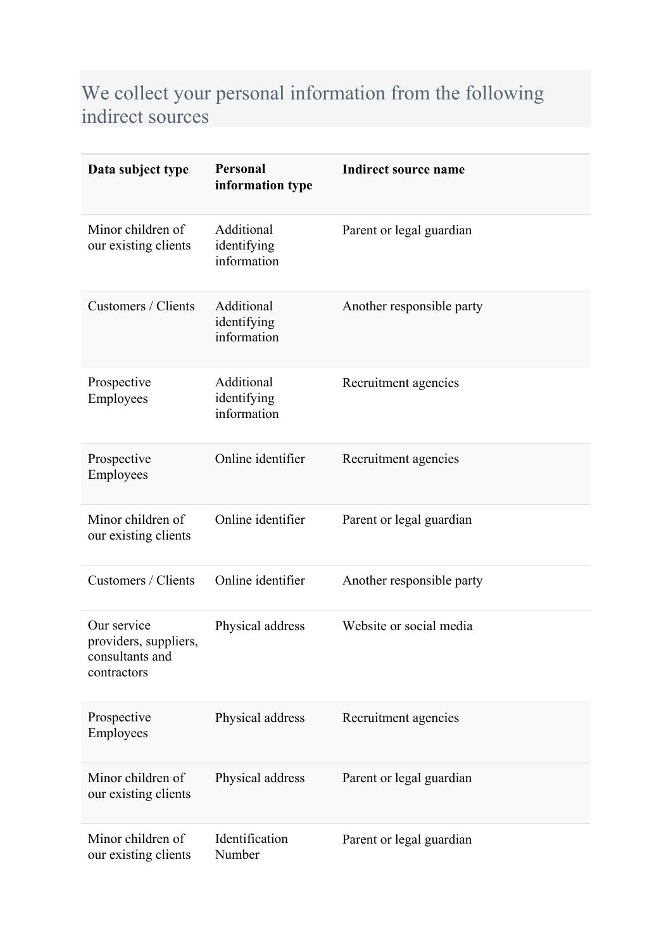## We collect your personal information from the following indirect sources

| Data subject type                                                      | Personal<br>information type             | <b>Indirect source name</b> |
|------------------------------------------------------------------------|------------------------------------------|-----------------------------|
| Minor children of<br>our existing clients                              | Additional<br>identifying<br>information | Parent or legal guardian    |
| Customers / Clients                                                    | Additional<br>identifying<br>information | Another responsible party   |
| Prospective<br>Employees                                               | Additional<br>identifying<br>information | Recruitment agencies        |
| Prospective<br>Employees                                               | Online identifier                        | Recruitment agencies        |
| Minor children of<br>our existing clients                              | Online identifier                        | Parent or legal guardian    |
| Customers / Clients                                                    | Online identifier                        | Another responsible party   |
| Our service<br>providers, suppliers,<br>consultants and<br>contractors | Physical address                         | Website or social media     |
| Prospective<br>Employees                                               | Physical address                         | Recruitment agencies        |
| Minor children of<br>our existing clients                              | Physical address                         | Parent or legal guardian    |
| Minor children of<br>our existing clients                              | Identification<br>Number                 | Parent or legal guardian    |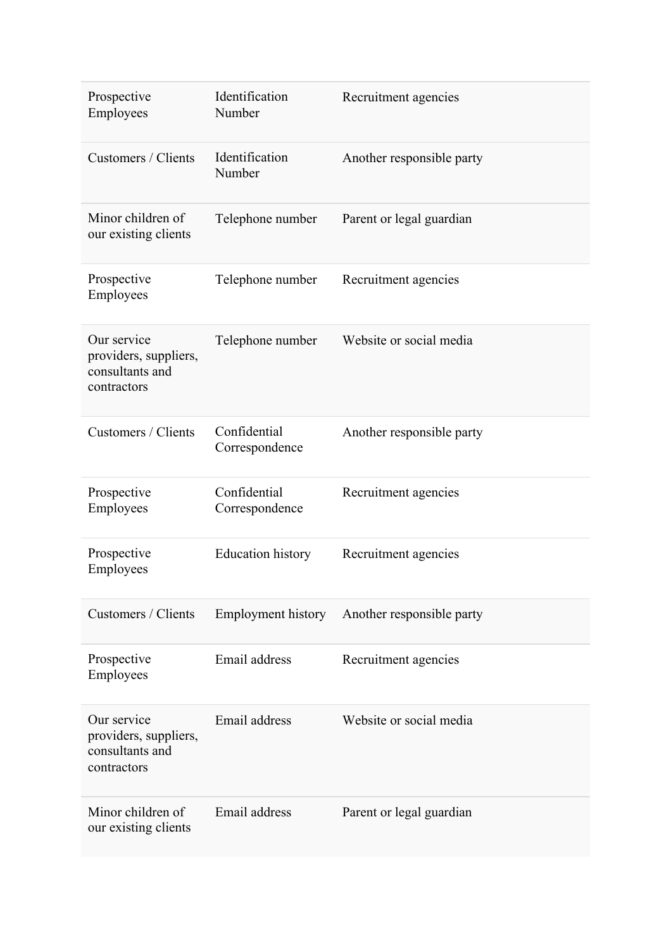| Prospective<br>Employees                                               | Identification<br>Number       | Recruitment agencies      |
|------------------------------------------------------------------------|--------------------------------|---------------------------|
| Customers / Clients                                                    | Identification<br>Number       | Another responsible party |
| Minor children of<br>our existing clients                              | Telephone number               | Parent or legal guardian  |
| Prospective<br>Employees                                               | Telephone number               | Recruitment agencies      |
| Our service<br>providers, suppliers,<br>consultants and<br>contractors | Telephone number               | Website or social media   |
| Customers / Clients                                                    | Confidential<br>Correspondence | Another responsible party |
| Prospective<br>Employees                                               | Confidential<br>Correspondence | Recruitment agencies      |
| Prospective<br>Employees                                               | <b>Education history</b>       | Recruitment agencies      |
| Customers / Clients                                                    | Employment history             | Another responsible party |
| Prospective<br>Employees                                               | Email address                  | Recruitment agencies      |
| Our service<br>providers, suppliers,<br>consultants and<br>contractors | Email address                  | Website or social media   |
| Minor children of<br>our existing clients                              | Email address                  | Parent or legal guardian  |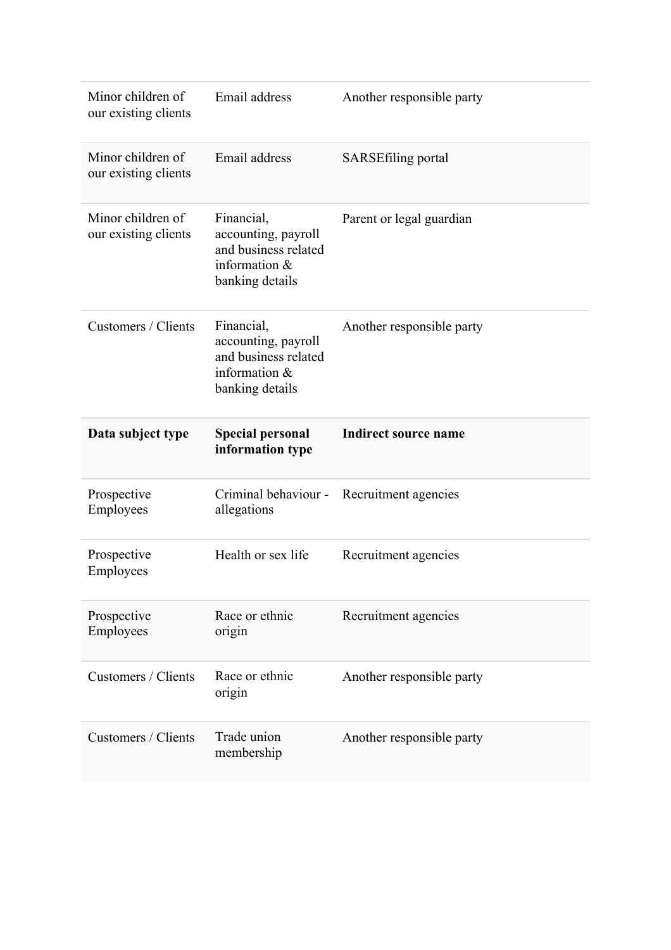| Minor children of<br>our existing clients | Email address                                                                                 | Another responsible party   |
|-------------------------------------------|-----------------------------------------------------------------------------------------------|-----------------------------|
| Minor children of<br>our existing clients | Email address                                                                                 | <b>SARSEfiling portal</b>   |
| Minor children of<br>our existing clients | Financial,<br>accounting, payroll<br>and business related<br>information &<br>banking details | Parent or legal guardian    |
| Customers / Clients                       | Financial,<br>accounting, payroll<br>and business related<br>information &<br>banking details | Another responsible party   |
|                                           |                                                                                               |                             |
| Data subject type                         | <b>Special personal</b><br>information type                                                   | <b>Indirect source name</b> |
| Prospective<br>Employees                  | Criminal behaviour -<br>allegations                                                           | Recruitment agencies        |
| Prospective<br>Employees                  | Health or sex life                                                                            | Recruitment agencies        |
| Prospective<br>Employees                  | Race or ethnic<br>origin                                                                      | Recruitment agencies        |
| Customers / Clients                       | Race or ethnic<br>origin                                                                      | Another responsible party   |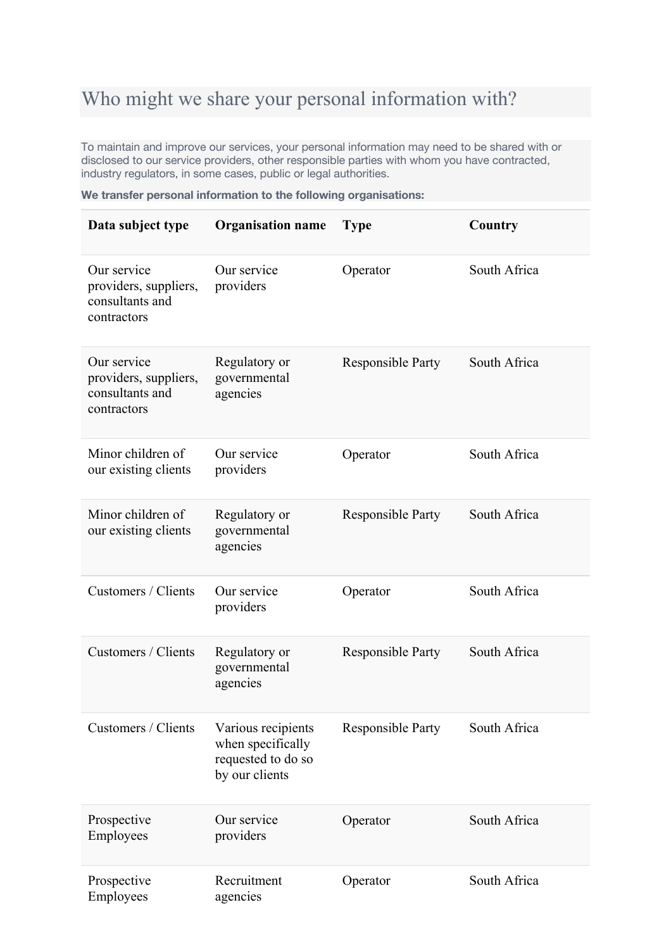# Who might we share your personal information with?

To maintain and improve our services, your personal information may need to be shared with or disclosed to our service providers, other responsible parties with whom you have contracted, industry regulators, in some cases, public or legal authorities.

|  |  |  | We transfer personal information to the following organisations: |
|--|--|--|------------------------------------------------------------------|
|  |  |  |                                                                  |

| Data subject type                                                      | <b>Organisation name</b>                                                        | <b>Type</b>              | Country      |
|------------------------------------------------------------------------|---------------------------------------------------------------------------------|--------------------------|--------------|
| Our service<br>providers, suppliers,<br>consultants and<br>contractors | Our service<br>providers                                                        | Operator                 | South Africa |
| Our service<br>providers, suppliers,<br>consultants and<br>contractors | Regulatory or<br>governmental<br>agencies                                       | <b>Responsible Party</b> | South Africa |
| Minor children of<br>our existing clients                              | Our service<br>providers                                                        | Operator                 | South Africa |
| Minor children of<br>our existing clients                              | Regulatory or<br>governmental<br>agencies                                       | <b>Responsible Party</b> | South Africa |
| Customers / Clients                                                    | Our service<br>providers                                                        | Operator                 | South Africa |
| Customers / Clients                                                    | Regulatory or<br>governmental<br>agencies                                       | <b>Responsible Party</b> | South Africa |
| Customers / Clients                                                    | Various recipients<br>when specifically<br>requested to do so<br>by our clients | <b>Responsible Party</b> | South Africa |
| Prospective<br>Employees                                               | Our service<br>providers                                                        | Operator                 | South Africa |
| Prospective<br>Employees                                               | Recruitment<br>agencies                                                         | Operator                 | South Africa |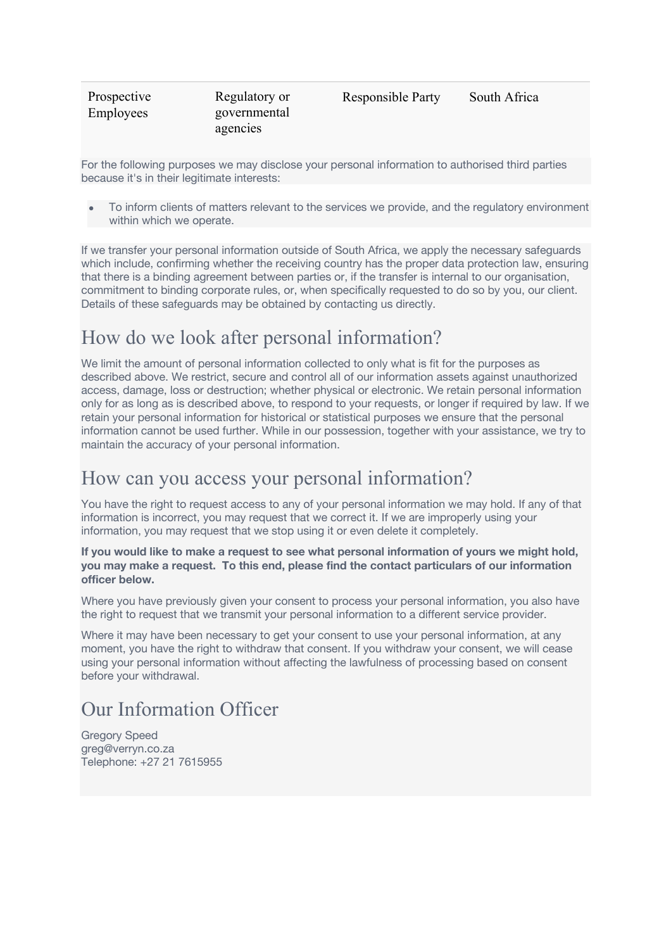| Prospective | Regulatory or            | <b>Responsible Party</b> | South Africa |
|-------------|--------------------------|--------------------------|--------------|
| Employees   | governmental<br>agencies |                          |              |
|             |                          |                          |              |

For the following purposes we may disclose your personal information to authorised third parties because it's in their legitimate interests:

• To inform clients of matters relevant to the services we provide, and the regulatory environment within which we operate.

If we transfer your personal information outside of South Africa, we apply the necessary safeguards which include, confirming whether the receiving country has the proper data protection law, ensuring that there is a binding agreement between parties or, if the transfer is internal to our organisation, commitment to binding corporate rules, or, when specifically requested to do so by you, our client. Details of these safeguards may be obtained by contacting us directly.

## How do we look after personal information?

We limit the amount of personal information collected to only what is fit for the purposes as described above. We restrict, secure and control all of our information assets against unauthorized access, damage, loss or destruction; whether physical or electronic. We retain personal information only for as long as is described above, to respond to your requests, or longer if required by law. If we retain your personal information for historical or statistical purposes we ensure that the personal information cannot be used further. While in our possession, together with your assistance, we try to maintain the accuracy of your personal information.

### How can you access your personal information?

You have the right to request access to any of your personal information we may hold. If any of that information is incorrect, you may request that we correct it. If we are improperly using your information, you may request that we stop using it or even delete it completely.

### **If you would like to make a request to see what personal information of yours we might hold, you may make a request. To this end, please find the contact particulars of our information officer below.**

Where you have previously given your consent to process your personal information, you also have the right to request that we transmit your personal information to a different service provider.

Where it may have been necessary to get your consent to use your personal information, at any moment, you have the right to withdraw that consent. If you withdraw your consent, we will cease using your personal information without affecting the lawfulness of processing based on consent before your withdrawal.

## Our Information Officer

Gregory Speed greg@verryn.co.za Telephone: +27 21 7615955